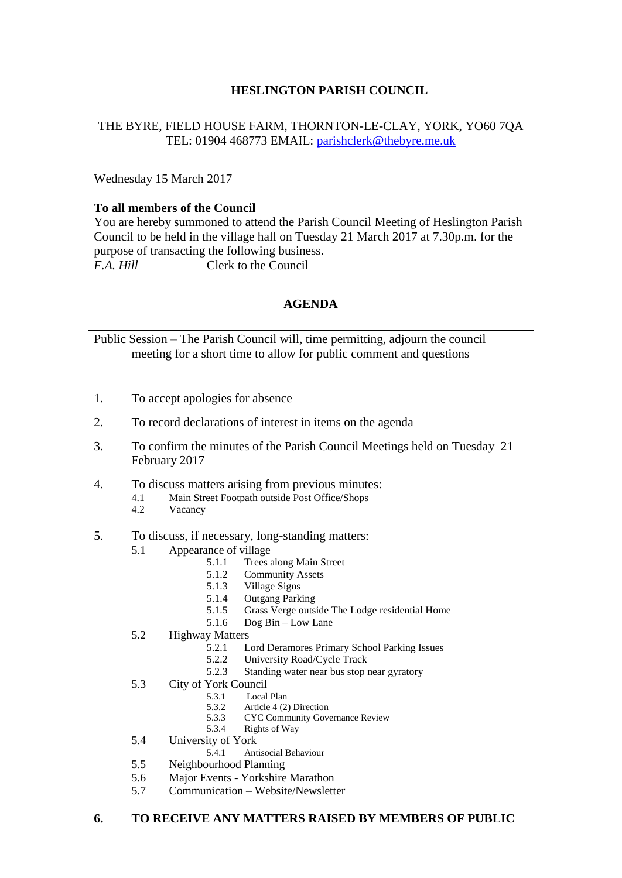# **HESLINGTON PARISH COUNCIL**

### THE BYRE, FIELD HOUSE FARM, THORNTON-LE-CLAY, YORK, YO60 7QA TEL: 01904 468773 EMAIL: [parishclerk@thebyre.me.uk](mailto:parishclerk@thebyre.me.uk)

Wednesday 15 March 2017

#### **To all members of the Council**

You are hereby summoned to attend the Parish Council Meeting of Heslington Parish Council to be held in the village hall on Tuesday 21 March 2017 at 7.30p.m. for the purpose of transacting the following business. *F.A. Hill* Clerk to the Council

## **AGENDA**

Public Session – The Parish Council will, time permitting, adjourn the council meeting for a short time to allow for public comment and questions

- 1. To accept apologies for absence
- 2. To record declarations of interest in items on the agenda
- 3. To confirm the minutes of the Parish Council Meetings held on Tuesday 21 February 2017
- 4. To discuss matters arising from previous minutes:
	- 4.1 Main Street Footpath outside Post Office/Shops
	- 4.2 Vacancy
- 5. To discuss, if necessary, long-standing matters:
	- 5.1 Appearance of village
		- 5.1.1 Trees along Main Street<br>5.1.2 Community Assets
		- Community Assets
		- 5.1.3 Village Signs<br>5.1.4 Outgang Park
		- 5.1.4 Outgang Parking<br>5.1.5 Grass Verge outsi
		- 5.1.5 Grass Verge outside The Lodge residential Home
		- 5.1.6 Dog Bin Low Lane
	- 5.2 Highway Matters<br>5.2.1 L
		- 5.2.1 Lord Deramores Primary School Parking Issues<br>5.2.2 University Road/Cycle Track
		- 5.2.2 University Road/Cycle Track<br>5.2.3 Standing water near bus stop 1
		- Standing water near bus stop near gyratory
	- 5.3 City of York Council
		-
		- 5.3.1 Local Plan<br>5.3.2 Article 4 (2) 5.3.2 Article 4 (2) Direction<br>5.3.3 CYC Community Gove
			- 5.3.3 CYC Community Governance Review
		- 5.3.4 Rights of Way
	- 5.4 University of York<br>5.4.1 Ant
		- 5.4.1 Antisocial Behaviour
	- 5.5 Neighbourhood Planning
	- 5.6 Major Events Yorkshire Marathon
	- 5.7 Communication Website/Newsletter

## **6. TO RECEIVE ANY MATTERS RAISED BY MEMBERS OF PUBLIC**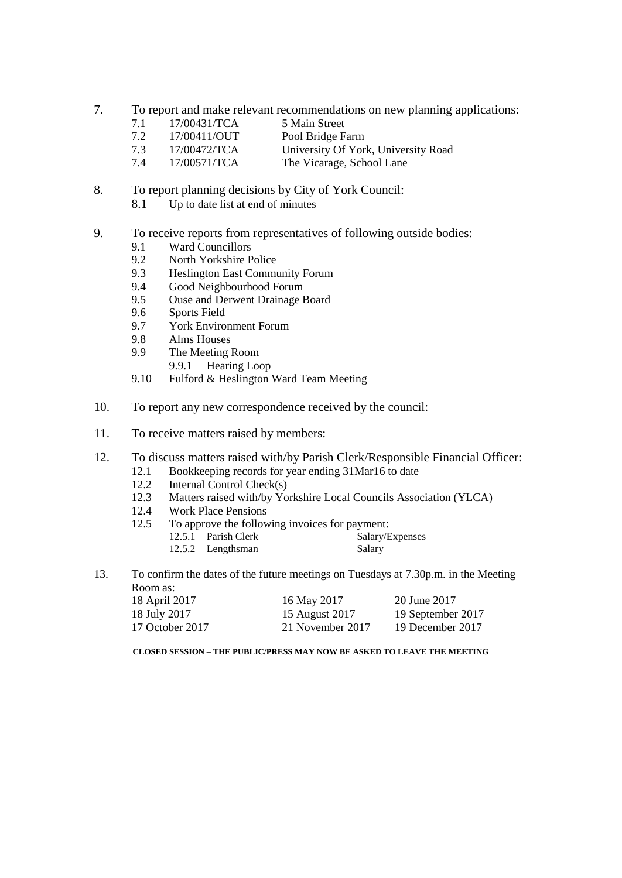- 7. To report and make relevant recommendations on new planning applications:
	- 7.1 17/00431/TCA 5 Main Street
	- 7.2 17/00411/OUT Pool Bridge Farm
	- 7.3 17/00472/TCA University Of York, University Road
	- 7.4 17/00571/TCA The Vicarage, School Lane
- 8. To report planning decisions by City of York Council:
	- 8.1 Up to date list at end of minutes
- 9. To receive reports from representatives of following outside bodies:
	- 9.1 Ward Councillors
	- 9.2 North Yorkshire Police
	- 9.3 Heslington East Community Forum<br>9.4 Good Neighbourhood Forum
	- Good Neighbourhood Forum
	- 9.5 Ouse and Derwent Drainage Board
	- 9.6 Sports Field<br>9.7 York Enviro
	- 9.7 York Environment Forum<br>9.8 Alms Houses
	- Alms Houses
	- 9.9 The Meeting Room
		- 9.9.1 Hearing Loop
	- 9.10 Fulford & Heslington Ward Team Meeting
- 10. To report any new correspondence received by the council:
- 11. To receive matters raised by members:
- 12. To discuss matters raised with/by Parish Clerk/Responsible Financial Officer:
	- 12.1 Bookkeeping records for year ending 31Mar16 to date
	- 12.2 Internal Control Check(s)
	- 12.3 Matters raised with/by Yorkshire Local Councils Association (YLCA)
	- 12.4 Work Place Pensions
	- 12.5 To approve the following invoices for payment:<br>12.5.1 Parish Clerk Salary/Expenses
		- 12.5.1 Parish Clerk 12.5.2 Lengthsman Salary
- 13. To confirm the dates of the future meetings on Tuesdays at 7.30p.m. in the Meeting Room as:

| 18 April 2017   | 16 May 2017      | 20 June 2017      |
|-----------------|------------------|-------------------|
| 18 July 2017    | 15 August 2017   | 19 September 2017 |
| 17 October 2017 | 21 November 2017 | 19 December 2017  |

**CLOSED SESSION – THE PUBLIC/PRESS MAY NOW BE ASKED TO LEAVE THE MEETING**